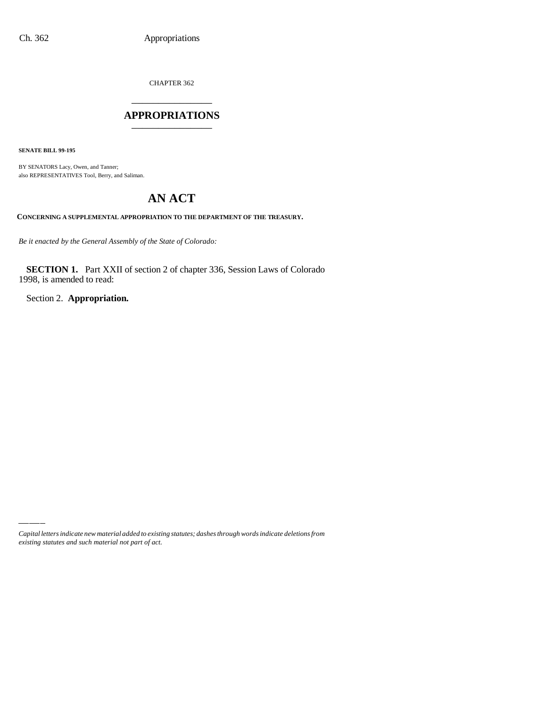CHAPTER 362 \_\_\_\_\_\_\_\_\_\_\_\_\_\_\_

### **APPROPRIATIONS** \_\_\_\_\_\_\_\_\_\_\_\_\_\_\_

**SENATE BILL 99-195**

BY SENATORS Lacy, Owen, and Tanner; also REPRESENTATIVES Tool, Berry, and Saliman.

# **AN ACT**

**CONCERNING A SUPPLEMENTAL APPROPRIATION TO THE DEPARTMENT OF THE TREASURY.**

*Be it enacted by the General Assembly of the State of Colorado:*

**SECTION 1.** Part XXII of section 2 of chapter 336, Session Laws of Colorado 1998, is amended to read:

Section 2. **Appropriation.**

*Capital letters indicate new material added to existing statutes; dashes through words indicate deletions from existing statutes and such material not part of act.*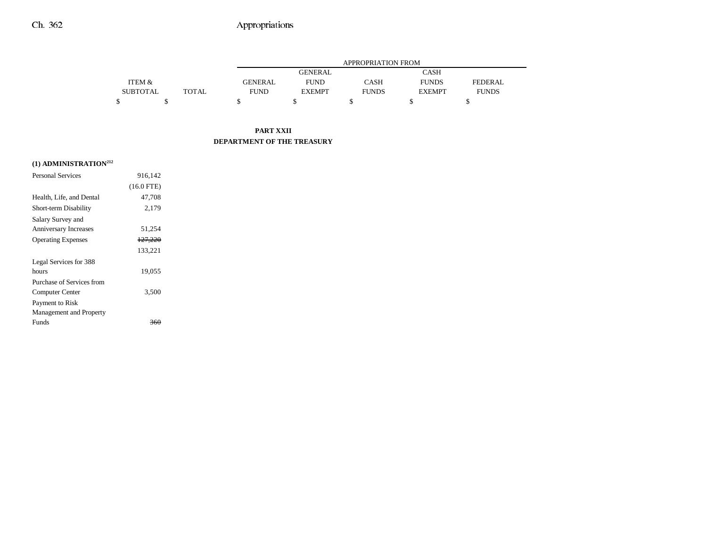## Ch. 362 Appropriations

|                 |              |                | APPROPRIATION FROM |              |               |                |  |  |
|-----------------|--------------|----------------|--------------------|--------------|---------------|----------------|--|--|
|                 |              |                | CASH               |              |               |                |  |  |
| ITEM &          |              | <b>GENERAL</b> | <b>FUND</b>        | CASH         | <b>FUNDS</b>  | <b>FEDERAL</b> |  |  |
| <b>SUBTOTAL</b> | <b>TOTAL</b> | <b>FUND</b>    | <b>EXEMPT</b>      | <b>FUNDS</b> | <b>EXEMPT</b> | <b>FUNDS</b>   |  |  |
|                 |              |                |                    |              |               |                |  |  |

#### **PART XXII DEPARTMENT OF THE TREASURY**

### **(1) ADMINISTRATION212**

| <b>Personal Services</b>  | 916.142      |  |
|---------------------------|--------------|--|
|                           | $(16.0$ FTE) |  |
| Health, Life, and Dental  | 47,708       |  |
| Short-term Disability     | 2,179        |  |
| Salary Survey and         |              |  |
| Anniversary Increases     | 51,254       |  |
| <b>Operating Expenses</b> | 127,220      |  |
|                           | 133,221      |  |
| Legal Services for 388    |              |  |
| hours                     | 19,055       |  |
| Purchase of Services from |              |  |
| Computer Center           | 3,500        |  |
| Payment to Risk           |              |  |
| Management and Property   |              |  |
| Funds                     |              |  |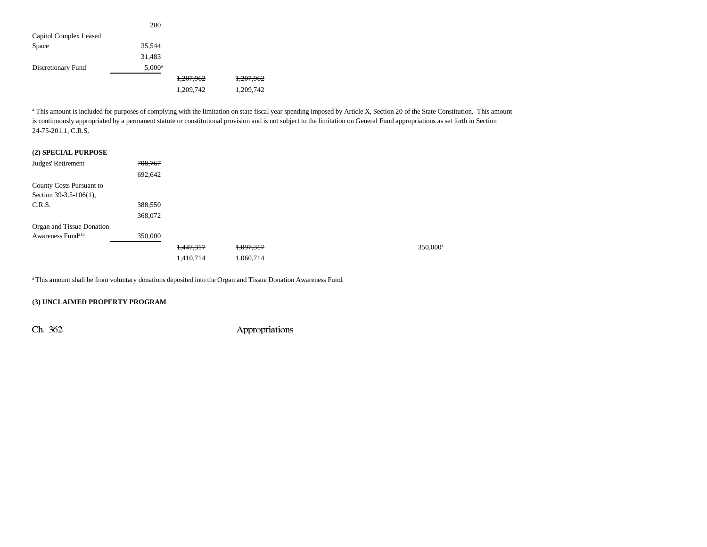|                        | 200               |           |           |
|------------------------|-------------------|-----------|-----------|
| Capitol Complex Leased |                   |           |           |
| Space                  | <del>35,544</del> |           |           |
|                        | 31,483            |           |           |
| Discretionary Fund     | $5,000^{\rm a}$   |           |           |
|                        |                   | 1,207,962 | 1,207,962 |
|                        |                   | 1,209,742 | 1,209,742 |

<sup>a</sup> This amount is included for purposes of complying with the limitation on state fiscal year spending imposed by Article X, Section 20 of the State Constitution. This amount is continuously appropriated by a permanent statute or constitutional provision and is not subject to the limitation on General Fund appropriations as set forth in Section 24-75-201.1, C.R.S.

#### **(2) SPECIAL PURPOSE**

| Judges' Retirement            | 708,767 |           |           |  |  |
|-------------------------------|---------|-----------|-----------|--|--|
|                               | 692,642 |           |           |  |  |
| County Costs Pursuant to      |         |           |           |  |  |
| Section $39-3.5-106(1)$ ,     |         |           |           |  |  |
| C.R.S.                        | 388,550 |           |           |  |  |
|                               | 368,072 |           |           |  |  |
| Organ and Tissue Donation     |         |           |           |  |  |
| Awareness Fund <sup>213</sup> | 350,000 |           |           |  |  |
|                               |         | 1,447,317 | 1,097,317 |  |  |
|                               |         | 1,410,714 | 1,060,714 |  |  |

a This amount shall be from voluntary donations deposited into the Organ and Tissue Donation Awareness Fund.

#### **(3) UNCLAIMED PROPERTY PROGRAM**

Ch. 362 Appropriations

350,000<sup>a</sup>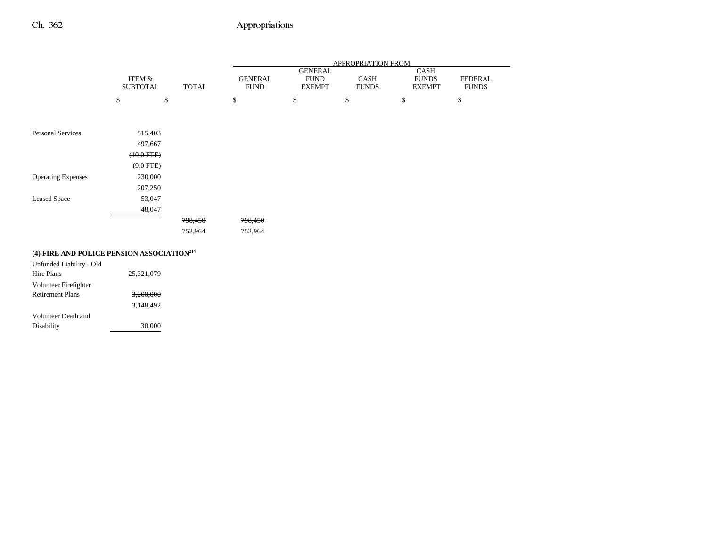Volunteer Death and

Disability 30,000

## Ch. 362 Appropriations

|                                                        |                           |              | APPROPRIATION FROM            |                                                |                      |                                       |                                |  |
|--------------------------------------------------------|---------------------------|--------------|-------------------------------|------------------------------------------------|----------------------|---------------------------------------|--------------------------------|--|
|                                                        | ITEM &<br><b>SUBTOTAL</b> | <b>TOTAL</b> | <b>GENERAL</b><br><b>FUND</b> | <b>GENERAL</b><br><b>FUND</b><br><b>EXEMPT</b> | CASH<br><b>FUNDS</b> | CASH<br><b>FUNDS</b><br><b>EXEMPT</b> | <b>FEDERAL</b><br><b>FUNDS</b> |  |
|                                                        | \$<br>\$                  |              | \$                            | \$                                             | \$                   | \$                                    | \$                             |  |
| <b>Personal Services</b>                               | 515,403                   |              |                               |                                                |                      |                                       |                                |  |
|                                                        | 497,667                   |              |                               |                                                |                      |                                       |                                |  |
|                                                        | $(10.0 \text{ FFE})$      |              |                               |                                                |                      |                                       |                                |  |
|                                                        | $(9.0$ FTE)               |              |                               |                                                |                      |                                       |                                |  |
| <b>Operating Expenses</b>                              | 230,000                   |              |                               |                                                |                      |                                       |                                |  |
|                                                        | 207,250                   |              |                               |                                                |                      |                                       |                                |  |
| <b>Leased Space</b>                                    | 53,047                    |              |                               |                                                |                      |                                       |                                |  |
|                                                        | 48,047                    |              |                               |                                                |                      |                                       |                                |  |
|                                                        |                           | 798,450      | 798,450                       |                                                |                      |                                       |                                |  |
|                                                        |                           | 752,964      | 752,964                       |                                                |                      |                                       |                                |  |
| (4) FIRE AND POLICE PENSION ASSOCIATION <sup>214</sup> |                           |              |                               |                                                |                      |                                       |                                |  |
| Unfunded Liability - Old                               |                           |              |                               |                                                |                      |                                       |                                |  |
| Hire Plans                                             | 25,321,079                |              |                               |                                                |                      |                                       |                                |  |
| Volunteer Firefighter                                  |                           |              |                               |                                                |                      |                                       |                                |  |
| <b>Retirement Plans</b>                                | 3,200,000                 |              |                               |                                                |                      |                                       |                                |  |

3,148,492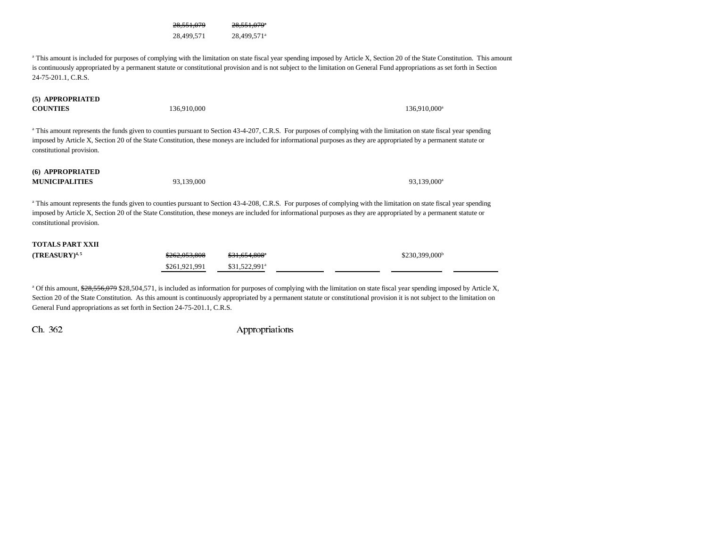28,551,079 28,551,079<sup>a</sup> 28,499,571 28,499,571<sup>a</sup>

<sup>a</sup> This amount is included for purposes of complying with the limitation on state fiscal year spending imposed by Article X, Section 20 of the State Constitution. This amount is continuously appropriated by a permanent statute or constitutional provision and is not subject to the limitation on General Fund appropriations as set forth in Section 24-75-201.1, C.R.S.

#### **(5) APPROPRIATED COUNTIES**

 $\mathbf{S}$  and  $136,910,000$  136,910,000 and  $136,910,000$  136,910,000 and  $136,910,000$  136,910,000 and  $136,910,000$  136,910,000 and  $136,910,000$  136,910,000 and  $136,910,000$  136,910,000 and  $136,910,000$  136,910,000 an

<sup>a</sup> This amount represents the funds given to counties pursuant to Section 43-4-207, C.R.S. For purposes of complying with the limitation on state fiscal year spending imposed by Article X, Section 20 of the State Constitution, these moneys are included for informational purposes as they are appropriated by a permanent statute or constitutional provision.

#### **(6) APPROPRIATED MUNICIPALITIES**93,139,000 93,139,000 93,139,000 93,139,000 93,139,000 93,139,000 93,139,000 93,139,000 93,139,000 93,139,000 1

<sup>a</sup> This amount represents the funds given to counties pursuant to Section 43-4-208, C.R.S. For purposes of complying with the limitation on state fiscal year spending imposed by Article X, Section 20 of the State Constitution, these moneys are included for informational purposes as they are appropriated by a permanent statute or constitutional provision.

### **TOTALS PART XXII**

| $(TREASURY)^{4,5}$ | \$262,053,808 | \$31.654.808"             | $$230,399,000^b$ |
|--------------------|---------------|---------------------------|------------------|
|                    | \$261.921.991 | \$31.522.991 <sup>a</sup> |                  |

<sup>a</sup> Of this amount, \$28,556,079 \$28,504,571, is included as information for purposes of complying with the limitation on state fiscal year spending imposed by Article X, Section 20 of the State Constitution. As this amount is continuously appropriated by a permanent statute or constitutional provision it is not subject to the limitation on General Fund appropriations as set forth in Section 24-75-201.1, C.R.S.

Ch. 362 Appropriations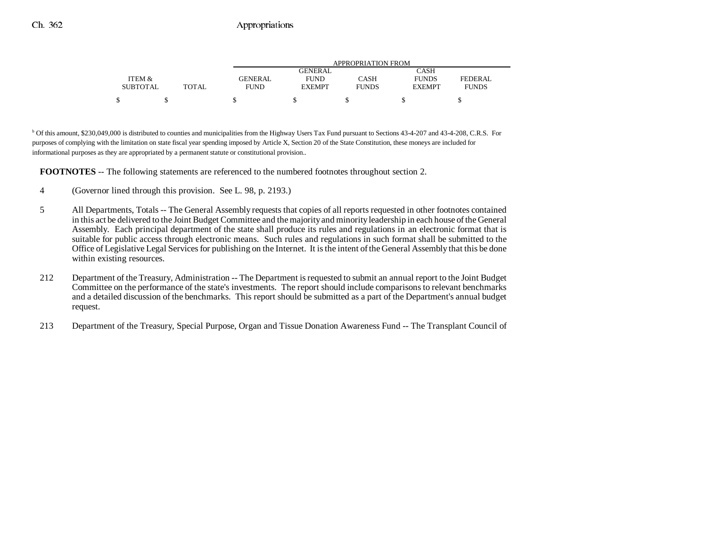|                 |       | APPROPRIATION FROM     |               |              |               |                |  |
|-----------------|-------|------------------------|---------------|--------------|---------------|----------------|--|
|                 |       | CASH<br><b>GENERAL</b> |               |              |               |                |  |
| ITEM &          |       | GENERAL                | FUND          | CASH         | <b>FUNDS</b>  | <b>FEDERAL</b> |  |
| <b>SUBTOTAL</b> | TOTAL | FUND                   | <b>EXEMPT</b> | <b>FUNDS</b> | <b>EXEMPT</b> | <b>FUNDS</b>   |  |
| ¢               |       |                        |               |              |               |                |  |

<sup>b</sup> Of this amount, \$230,049,000 is distributed to counties and municipalities from the Highway Users Tax Fund pursuant to Sections 43-4-207 and 43-4-208, C.R.S. For purposes of complying with the limitation on state fiscal year spending imposed by Article X, Section 20 of the State Constitution, these moneys are included for informational purposes as they are appropriated by a permanent statute or constitutional provision..

**FOOTNOTES** -- The following statements are referenced to the numbered footnotes throughout section 2.

- 4 (Governor lined through this provision. See L. 98, p. 2193.)
- 5 All Departments, Totals -- The General Assembly requests that copies of all reports requested in other footnotes contained in this act be delivered to the Joint Budget Committee and the majority and minority leadership in each house of the General Assembly. Each principal department of the state shall produce its rules and regulations in an electronic format that is suitable for public access through electronic means. Such rules and regulations in such format shall be submitted to the Office of Legislative Legal Services for publishing on the Internet. It is the intent of the General Assembly that this be done within existing resources.
- 212 Department of the Treasury, Administration -- The Department is requested to submit an annual report to the Joint Budget Committee on the performance of the state's investments. The report should include comparisons to relevant benchmarks and a detailed discussion of the benchmarks. This report should be submitted as a part of the Department's annual budget request.
- 213 Department of the Treasury, Special Purpose, Organ and Tissue Donation Awareness Fund -- The Transplant Council of